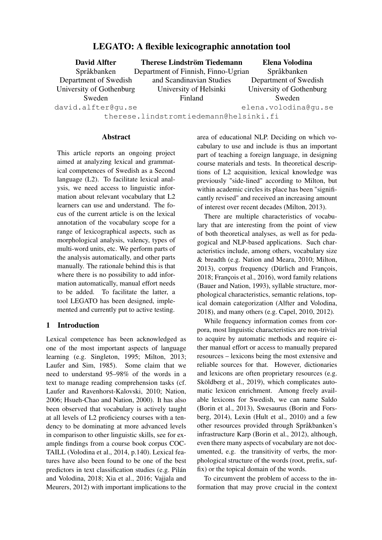# LEGATO: A flexible lexicographic annotation tool

| <b>David Alfter</b>      | <b>Therese Lindström Tiedemann</b>                                                                                                                                                                                                 | Elena Volodina           |
|--------------------------|------------------------------------------------------------------------------------------------------------------------------------------------------------------------------------------------------------------------------------|--------------------------|
| Språkbanken              | Department of Finnish, Finno-Ugrian                                                                                                                                                                                                | Språkbanken              |
| Department of Swedish    | and Scandinavian Studies                                                                                                                                                                                                           | Department of Swedish    |
| University of Gothenburg | University of Helsinki                                                                                                                                                                                                             | University of Gothenburg |
| Sweden                   | Finland                                                                                                                                                                                                                            | Sweden                   |
| david.alfter@gu.se       |                                                                                                                                                                                                                                    | elena.volodina@qu.se     |
|                          | $\mathcal{A}$ , and a set of the set of the set of the set of the set of the set of the set of the set of the set of the set of the set of the set of the set of the set of the set of the set of the set of the set of the set of |                          |

therese.lindstromtiedemann@helsinki.fi

#### Abstract

This article reports an ongoing project aimed at analyzing lexical and grammatical competences of Swedish as a Second language (L2). To facilitate lexical analysis, we need access to linguistic information about relevant vocabulary that L2 learners can use and understand. The focus of the current article is on the lexical annotation of the vocabulary scope for a range of lexicographical aspects, such as morphological analysis, valency, types of multi-word units, etc. We perform parts of the analysis automatically, and other parts manually. The rationale behind this is that where there is no possibility to add information automatically, manual effort needs to be added. To facilitate the latter, a tool LEGATO has been designed, implemented and currently put to active testing.

## 1 Introduction

Lexical competence has been acknowledged as one of the most important aspects of language learning (e.g. Singleton, 1995; Milton, 2013; Laufer and Sim, 1985). Some claim that we need to understand 95–98% of the words in a text to manage reading comprehension tasks (cf. Laufer and Ravenhorst-Kalovski, 2010; Nation, 2006; Hsueh-Chao and Nation, 2000). It has also been observed that vocabulary is actively taught at all levels of L2 proficiency courses with a tendency to be dominating at more advanced levels in comparison to other linguistic skills, see for example findings from a course book corpus COC-TAILL (Volodina et al., 2014, p.140). Lexical features have also been found to be one of the best predictors in text classification studies (e.g. Pilán and Volodina, 2018; Xia et al., 2016; Vajjala and Meurers, 2012) with important implications to the area of educational NLP. Deciding on which vocabulary to use and include is thus an important part of teaching a foreign language, in designing course materials and tests. In theoretical descriptions of L2 acquisition, lexical knowledge was previously "side-lined" according to Milton, but within academic circles its place has been "significantly revised" and received an increasing amount of interest over recent decades (Milton, 2013).

There are multiple characteristics of vocabulary that are interesting from the point of view of both theoretical analyses, as well as for pedagogical and NLP-based applications. Such characteristics include, among others, vocabulary size & breadth (e.g. Nation and Meara, 2010; Milton, 2013), corpus frequency (Dürlich and François, 2018; François et al., 2016), word family relations (Bauer and Nation, 1993), syllable structure, morphological characteristics, semantic relations, topical domain categorization (Alfter and Volodina, 2018), and many others (e.g. Capel, 2010, 2012).

While frequency information comes from corpora, most linguistic characteristics are non-trivial to acquire by automatic methods and require either manual effort or access to manually prepared resources – lexicons being the most extensive and reliable sources for that. However, dictionaries and lexicons are often proprietary resources (e.g. Sköldberg et al., 2019), which complicates automatic lexicon enrichment. Among freely available lexicons for Swedish, we can name Saldo (Borin et al., 2013), Swesaurus (Borin and Forsberg, 2014), Lexin (Hult et al., 2010) and a few other resources provided through Språkbanken's infrastructure Karp (Borin et al., 2012), although, even there many aspects of vocabulary are not documented, e.g. the transitivity of verbs, the morphological structure of the words (root, prefix, suffix) or the topical domain of the words.

To circumvent the problem of access to the information that may prove crucial in the context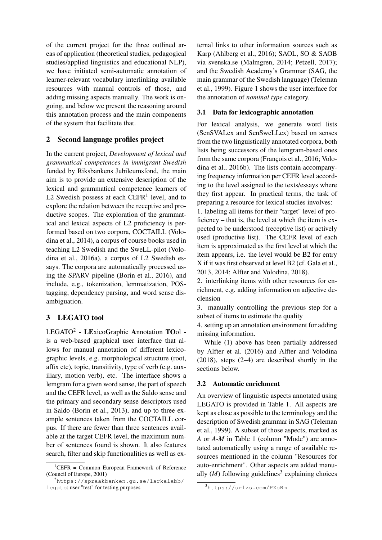of the current project for the three outlined areas of application (theoretical studies, pedagogical studies/applied linguistics and educational NLP), we have initiated semi-automatic annotation of learner-relevant vocabulary interlinking available resources with manual controls of those, and adding missing aspects manually. The work is ongoing, and below we present the reasoning around this annotation process and the main components of the system that facilitate that.

## 2 Second language profiles project

In the current project, *Development of lexical and grammatical competences in immigrant Swedish* funded by Riksbankens Jubileumsfond, the main aim is to provide an extensive description of the lexical and grammatical competence learners of L2 Swedish possess at each  $C\text{EFR}^1$  level, and to explore the relation between the receptive and productive scopes. The exploration of the grammatical and lexical aspects of L2 proficiency is performed based on two corpora, COCTAILL (Volodina et al., 2014), a corpus of course books used in teaching L2 Swedish and the SweLL-pilot (Volodina et al., 2016a), a corpus of L2 Swedish essays. The corpora are automatically processed using the SPARV pipeline (Borin et al., 2016), and include, e.g., tokenization, lemmatization, POStagging, dependency parsing, and word sense disambiguation.

## 3 LEGATO tool

LEGATO<sup>2</sup> - LExicoGraphic Annotation TOol is a web-based graphical user interface that allows for manual annotation of different lexicographic levels, e.g. morphological structure (root, affix etc), topic, transitivity, type of verb (e.g. auxiliary, motion verb), etc. The interface shows a lemgram for a given word sense, the part of speech and the CEFR level, as well as the Saldo sense and the primary and secondary sense descriptors used in Saldo (Borin et al., 2013), and up to three example sentences taken from the COCTAILL corpus. If there are fewer than three sentences available at the target CEFR level, the maximum number of sentences found is shown. It also features search, filter and skip functionalities as well as external links to other information sources such as Karp (Ahlberg et al., 2016); SAOL, SO & SAOB via svenska.se (Malmgren, 2014; Petzell, 2017); and the Swedish Academy's Grammar (SAG, the main grammar of the Swedish language) (Teleman et al., 1999). Figure 1 shows the user interface for the annotation of *nominal type* category.

## 3.1 Data for lexicographic annotation

For lexical analysis, we generate word lists (SenSVALex and SenSweLLex) based on senses from the two linguistically annotated corpora, both lists being successors of the lemgram-based ones from the same corpora (François et al., 2016; Volodina et al., 2016b). The lists contain accompanying frequency information per CEFR level according to the level assigned to the texts/essays where they first appear. In practical terms, the task of preparing a resource for lexical studies involves:

1. labeling all items for their "target" level of proficiency – that is, the level at which the item is expected to be understood (receptive list) or actively used (productive list). The CEFR level of each item is approximated as the first level at which the item appears, i.e. the level would be B2 for entry X if it was first observed at level B2 (cf. Gala et al., 2013, 2014; Alfter and Volodina, 2018).

2. interlinking items with other resources for enrichment, e.g. adding information on adjective declension

3. manually controlling the previous step for a subset of items to estimate the quality

4. setting up an annotation environment for adding missing information.

While (1) above has been partially addressed by Alfter et al. (2016) and Alfter and Volodina (2018), steps (2–4) are described shortly in the sections below.

## 3.2 Automatic enrichment

An overview of linguistic aspects annotated using LEGATO is provided in Table 1. All aspects are kept as close as possible to the terminology and the description of Swedish grammar in SAG (Teleman et al., 1999). A subset of those aspects, marked as *A* or *A-M* in Table 1 (column "Mode") are annotated automatically using a range of available resources mentioned in the column "Resources for auto-enrichment". Other aspects are added manually  $(M)$  following guidelines<sup>3</sup> explaining choices

 ${}^{1}$ CEFR = Common European Framework of Reference (Council of Europe, 2001)

<sup>&</sup>lt;sup>2</sup>https://spraakbanken.qu.se/larkalabb/ legato; user "test" for testing purposes

<sup>3</sup>https://urlzs.com/PZoRm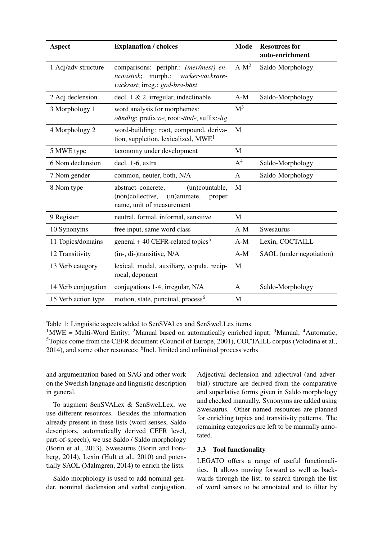| <b>Aspect</b>       | <b>Explanation / choices</b>                                                                                          | <b>Mode</b>    | <b>Resources for</b><br>auto-enrichment |
|---------------------|-----------------------------------------------------------------------------------------------------------------------|----------------|-----------------------------------------|
| 1 Adj/adv structure | comparisons: periphr.: (mer/mest) en-<br>morph.:<br>tusiastisk;<br>vacker-vackrare-<br>vackrast; irreg.: god-bra-bäst | $A-M^2$        | Saldo-Morphology                        |
| 2 Adj declension    | decl. $1 \& 2$ , irregular, indeclinable                                                                              | $A-M$          | Saldo-Morphology                        |
| 3 Morphology 1      | word analysis for morphemes:<br><i>oändlig</i> : prefix: <i>o</i> -; root:-änd-; suffix:-lig                          | M <sup>3</sup> |                                         |
| 4 Morphology 2      | word-building: root, compound, deriva-<br>tion, suppletion, lexicalized, $MWE1$                                       | M              |                                         |
| 5 MWE type          | taxonomy under development                                                                                            | М              |                                         |
| 6 Nom declension    | decl. 1-6, extra                                                                                                      | $A^4$          | Saldo-Morphology                        |
| 7 Nom gender        | common, neuter, both, N/A                                                                                             | $\mathbf{A}$   | Saldo-Morphology                        |
| 8 Nom type          | abstract-concrete,<br>(un)countable,<br>(non)collective,<br>(in)animate,<br>proper<br>name, unit of measurement       | M              |                                         |
| 9 Register          | neutral, formal, informal, sensitive                                                                                  | M              |                                         |
| 10 Synonyms         | free input, same word class                                                                                           | $A-M$          | Swesaurus                               |
| 11 Topics/domains   | general + 40 CEFR-related topics <sup>5</sup>                                                                         | $A-M$          | Lexin, COCTAILL                         |
| 12 Transitivity     | (in-, di-)transitive, N/A                                                                                             | $A-M$          | SAOL (under negotiation)                |
| 13 Verb category    | lexical, modal, auxiliary, copula, recip-<br>rocal, deponent                                                          | M              |                                         |
| 14 Verb conjugation | conjugations 1-4, irregular, N/A                                                                                      | A              | Saldo-Morphology                        |
| 15 Verb action type | motion, state, punctual, process <sup>6</sup>                                                                         | M              |                                         |

Table 1: Linguistic aspects added to SenSVALex and SenSweLLex items

<sup>1</sup>MWE = Multi-Word Entity; <sup>2</sup>Manual based on automatically enriched input; <sup>3</sup>Manual; <sup>4</sup>Automatic; <sup>5</sup>Topics come from the CEFR document (Council of Europe, 2001), COCTAILL corpus (Volodina et al., 2014), and some other resources; <sup>6</sup>Incl. limited and unlimited process verbs

and argumentation based on SAG and other work on the Swedish language and linguistic description in general.

To augment SenSVALex & SenSweLLex, we use different resources. Besides the information already present in these lists (word senses, Saldo descriptors, automatically derived CEFR level, part-of-speech), we use Saldo / Saldo morphology (Borin et al., 2013), Swesaurus (Borin and Forsberg, 2014), Lexin (Hult et al., 2010) and potentially SAOL (Malmgren, 2014) to enrich the lists.

Saldo morphology is used to add nominal gender, nominal declension and verbal conjugation.

Adjectival declension and adjectival (and adverbial) structure are derived from the comparative and superlative forms given in Saldo morphology and checked manually. Synonyms are added using Swesaurus. Other named resources are planned for enriching topics and transitivity patterns. The remaining categories are left to be manually annotated.

#### 3.3 Tool functionality

LEGATO offers a range of useful functionalities. It allows moving forward as well as backwards through the list; to search through the list of word senses to be annotated and to filter by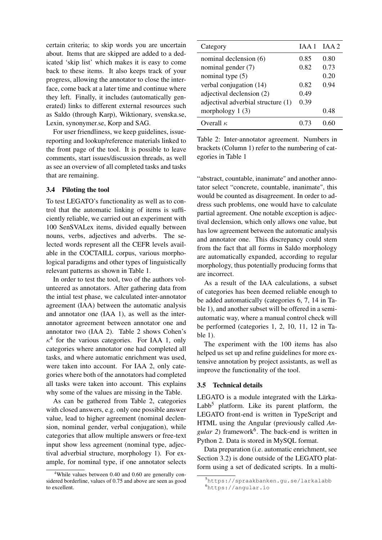certain criteria; to skip words you are uncertain about. Items that are skipped are added to a dedicated 'skip list' which makes it is easy to come back to these items. It also keeps track of your progress, allowing the annotator to close the interface, come back at a later time and continue where they left. Finally, it includes (automatically generated) links to different external resources such as Saldo (through Karp), Wiktionary, svenska.se, Lexin, synonymer.se, Korp and SAG.

For user friendliness, we keep guidelines, issuereporting and lookup/reference materials linked to the front page of the tool. It is possible to leave comments, start issues/discussion threads, as well as see an overview of all completed tasks and tasks that are remaining.

#### 3.4 Piloting the tool

To test LEGATO's functionality as well as to control that the automatic linking of items is sufficiently reliable, we carried out an experiment with 100 SenSVALex items, divided equally between nouns, verbs, adjectives and adverbs. The selected words represent all the CEFR levels available in the COCTAILL corpus, various morphological paradigms and other types of linguistically relevant patterns as shown in Table 1.

In order to test the tool, two of the authors volunteered as annotators. After gathering data from the intial test phase, we calculated inter-annotator agreement (IAA) between the automatic analysis and annotator one (IAA 1), as well as the interannotator agreement between annotator one and annotator two (IAA 2). Table 2 shows Cohen's  $\kappa^4$  for the various categories. For IAA 1, only categories where annotator one had completed all tasks, and where automatic enrichment was used, were taken into account. For IAA 2, only categories where both of the annotators had completed all tasks were taken into account. This explains why some of the values are missing in the Table.

As can be gathered from Table 2, categories with closed answers, e.g. only one possible answer value, lead to higher agreement (nominal declension, nominal gender, verbal conjugation), while categories that allow multiple answers or free-text input show less agreement (nominal type, adjectival adverbial structure, morphology 1). For example, for nominal type, if one annotator selects

| Category                           | IAA1 | IAA2 |
|------------------------------------|------|------|
| nominal declension (6)             | 0.85 | 0.80 |
| nominal gender (7)                 | 0.82 | 0.73 |
| nominal type $(5)$                 |      | 0.20 |
| verbal conjugation (14)            | 0.82 | 0.94 |
| adjectival declension (2)          | 0.49 |      |
| adjectival adverbial structure (1) | 0.39 |      |
| morphology $1(3)$                  |      | 0.48 |
| Overall $\kappa$                   |      |      |

Table 2: Inter-annotator agreement. Numbers in brackets (Column 1) refer to the numbering of categories in Table 1

"abstract, countable, inanimate" and another annotator select "concrete, countable, inanimate", this would be counted as disagreement. In order to address such problems, one would have to calculate partial agreement. One notable exception is adjectival declension, which only allows one value, but has low agreement between the automatic analysis and annotator one. This discrepancy could stem from the fact that all forms in Saldo morphology are automatically expanded, according to regular morphology, thus potentially producing forms that are incorrect.

As a result of the IAA calculations, a subset of categories has been deemed reliable enough to be added automatically (categories 6, 7, 14 in Table 1), and another subset will be offered in a semiautomatic way, where a manual control check will be performed (categories 1, 2, 10, 11, 12 in Table 1).

The experiment with the 100 items has also helped us set up and refine guidelines for more extensive annotation by project assistants, as well as improve the functionality of the tool.

#### 3.5 Technical details

LEGATO is a module integrated with the Lärka-Labb<sup>5</sup> platform. Like its parent platform, the LEGATO front-end is written in TypeScript and HTML using the Angular (previously called *An*gular 2) framework<sup>6</sup>. The back-end is written in Python 2. Data is stored in MySQL format.

Data preparation (i.e. automatic enrichment, see Section 3.2) is done outside of the LEGATO platform using a set of dedicated scripts. In a multi-

<sup>&</sup>lt;sup>4</sup>While values between 0.40 and 0.60 are generally considered borderline, values of 0.75 and above are seen as good to excellent.

<sup>5</sup>https://spraakbanken.gu.se/larkalabb <sup>6</sup>https://angular.io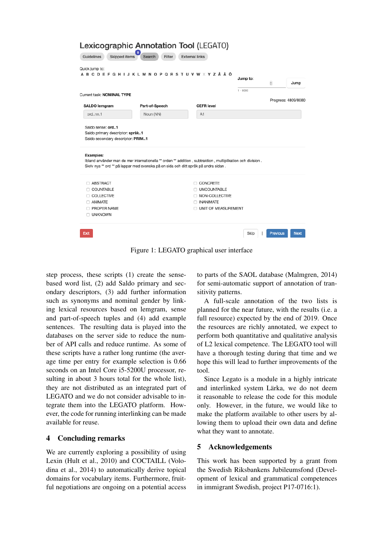| Quick jump to:               | A B C D E F G H I J K L M N O P Q R S T U V W X Y Z Å Ä Ö                                                                                                                                         |                                    | Jump to:<br>$1 - 8080$ | $\overset{\mathtt{A}}{\mathtt{v}}$ | Jump |
|------------------------------|---------------------------------------------------------------------------------------------------------------------------------------------------------------------------------------------------|------------------------------------|------------------------|------------------------------------|------|
| Current task: NOMINAL TYPE   |                                                                                                                                                                                                   |                                    |                        |                                    |      |
| SALDO lemgram                | Part-of-Speech                                                                                                                                                                                    | <b>CEFR level</b>                  |                        | Progress: 4809/8080                |      |
| ordnn.1                      | Noun (NN)                                                                                                                                                                                         | A1                                 |                        |                                    |      |
| <b>Examples:</b>             |                                                                                                                                                                                                   |                                    |                        |                                    |      |
|                              | Ibland använder man de mer internationella ** orden ** addition, subtraktion, multiplikation och division.<br>Skriv nya ** ord ** på lappar med svenska på en sida och ditt språk på andra sidan. |                                    |                        |                                    |      |
| <b>ABSTRACT</b>              |                                                                                                                                                                                                   | <b>CONCRETE</b>                    |                        |                                    |      |
| $\Box$ COUNTABLE             |                                                                                                                                                                                                   | O UNCOUNTABLE                      |                        |                                    |      |
| <b>COLLECTIVE</b><br>ANIMATE |                                                                                                                                                                                                   | NON-COLLECTIVE<br><b>INANIMATE</b> |                        |                                    |      |

Figure 1: LEGATO graphical user interface

step process, these scripts (1) create the sensebased word list, (2) add Saldo primary and secondary descriptors, (3) add further information such as synonyms and nominal gender by linking lexical resources based on lemgram, sense and part-of-speech tuples and (4) add example sentences. The resulting data is played into the databases on the server side to reduce the number of API calls and reduce runtime. As some of these scripts have a rather long runtime (the average time per entry for example selection is 0.66 seconds on an Intel Core i5-5200U processor, resulting in about 3 hours total for the whole list), they are not distributed as an integrated part of LEGATO and we do not consider advisable to integrate them into the LEGATO platform. However, the code for running interlinking can be made available for reuse.

## 4 Concluding remarks

We are currently exploring a possibility of using Lexin (Hult et al., 2010) and COCTAILL (Volodina et al., 2014) to automatically derive topical domains for vocabulary items. Furthermore, fruitful negotiations are ongoing on a potential access to parts of the SAOL database (Malmgren, 2014) for semi-automatic support of annotation of transitivity patterns.

A full-scale annotation of the two lists is planned for the near future, with the results (i.e. a full resource) expected by the end of 2019. Once the resources are richly annotated, we expect to perform both quantitative and qualitative analysis of L2 lexical competence. The LEGATO tool will have a thorough testing during that time and we hope this will lead to further improvements of the tool.

Since Legato is a module in a highly intricate and interlinked system Lärka, we do not deem it reasonable to release the code for this module only. However, in the future, we would like to make the platform available to other users by allowing them to upload their own data and define what they want to annotate.

## 5 Acknowledgements

This work has been supported by a grant from the Swedish Riksbankens Jubileumsfond (Development of lexical and grammatical competences in immigrant Swedish, project P17-0716:1).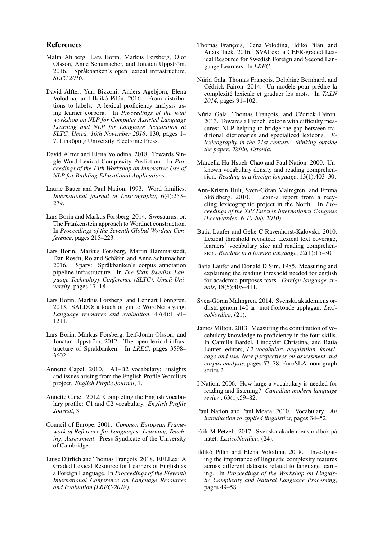#### References

- Malin Ahlberg, Lars Borin, Markus Forsberg, Olof Olsson, Anne Schumacher, and Jonatan Uppström. 2016. Språkbanken's open lexical infrastructure. *SLTC 2016*.
- David Alfter, Yuri Bizzoni, Anders Agebjórn, Elena Volodina, and Ildikó Pilán. 2016. From distributions to labels: A lexical proficiency analysis using learner corpora. In *Proceedings of the joint workshop on NLP for Computer Assisted Language Learning and NLP for Language Acquisition at SLTC, Umeå, 16th November 2016*, 130, pages 1– 7. Linköping University Electronic Press.
- David Alfter and Elena Volodina. 2018. Towards Single Word Lexical Complexity Prediction. In *Proceedings of the 13th Workshop on Innovative Use of NLP for Building Educational Applications*.
- Laurie Bauer and Paul Nation. 1993. Word families. *International journal of Lexicography*, 6(4):253– 279.
- Lars Borin and Markus Forsberg. 2014. Swesaurus; or, The Frankenstein approach to Wordnet construction. In *Proceedings of the Seventh Global Wordnet Conference*, pages 215–223.
- Lars Borin, Markus Forsberg, Martin Hammarstedt, Dan Rosén, Roland Schäfer, and Anne Schumacher. 2016. Sparv: Språkbanken's corpus annotation pipeline infrastructure. In *The Sixth Swedish Language Technology Conference (SLTC), Umeå University*, pages 17–18.
- Lars Borin, Markus Forsberg, and Lennart Lönngren. 2013. SALDO: a touch of yin to WordNet's yang. *Language resources and evaluation*, 47(4):1191– 1211.
- Lars Borin, Markus Forsberg, Leif-Jöran Olsson, and Jonatan Uppström. 2012. The open lexical infrastructure of Spräkbanken. In *LREC*, pages 3598– 3602.
- Annette Capel. 2010. A1–B2 vocabulary: insights and issues arising from the English Profile Wordlists project. *English Profile Journal*, 1.
- Annette Capel. 2012. Completing the English vocabulary profile: C1 and C2 vocabulary. *English Profile Journal*, 3.
- Council of Europe. 2001. *Common European Framework of Reference for Languages: Learning, Teaching, Assessment*. Press Syndicate of the University of Cambridge.
- Luise Dürlich and Thomas François. 2018. EFLLex: A Graded Lexical Resource for Learners of English as a Foreign Language. In *Proceedings of the Eleventh International Conference on Language Resources and Evaluation (LREC-2018)*.
- Thomas François, Elena Volodina, Ildikó Pilán, and Anaïs Tack. 2016. SVALex: a CEFR-graded Lexical Resource for Swedish Foreign and Second Language Learners. In *LREC*.
- Núria Gala, Thomas François, Delphine Bernhard, and Cédrick Fairon. 2014. Un modèle pour prédire la complexité lexicale et graduer les mots. In *TALN 2014*, pages 91–102.
- Núria Gala, Thomas François, and Cédrick Fairon. 2013. Towards a French lexicon with difficulty measures: NLP helping to bridge the gap between traditional dictionaries and specialized lexicons. *Elexicography in the 21st century: thinking outside the paper., Tallin, Estonia*.
- Marcella Hu Hsueh-Chao and Paul Nation. 2000. Unknown vocabulary density and reading comprehension. *Reading in a foreign language*, 13(1):403–30.
- Ann-Kristin Hult, Sven-Göran Malmgren, and Emma Sköldberg. 2010. Lexin-a report from a recycling lexicographic project in the North. In *Proceedings of the XIV Euralex International Congress (Leeuwarden, 6-10 July 2010)*.
- Batia Laufer and Geke C Ravenhorst-Kalovski. 2010. Lexical threshold revisited: Lexical text coverage, learners' vocabulary size and reading comprehension. *Reading in a foreign language*, 22(1):15–30.
- Batia Laufer and Donald D Sim. 1985. Measuring and explaining the reading threshold needed for english for academic purposes texts. *Foreign language annals*, 18(5):405–411.
- Sven-Göran Malmgren. 2014. Svenska akademiens ordlista genom 140 år: mot fjortonde upplagan. *LexicoNordica*, (21).
- James Milton. 2013. Measuring the contribution of vocabulary knowledge to proficiency in the four skills. In Camilla Bardel, Lindqvist Christina, and Batia Laufer, editors, *L2 vocabulary acquisition, knowledge and use. New perspectives on assessment and corpus analysis*, pages 57–78. EuroSLA monograph series 2.
- I Nation. 2006. How large a vocabulary is needed for reading and listening? *Canadian modern language review*, 63(1):59–82.
- Paul Nation and Paul Meara. 2010. Vocabulary. *An introduction to applied linguistics*, pages 34–52.
- Erik M Petzell. 2017. Svenska akademiens ordbok på nätet. *LexicoNordica*, (24).
- Ildikó Pilán and Elena Volodina. 2018. Investigating the importance of linguistic complexity features across different datasets related to language learning. In *Proceedings of the Workshop on Linguistic Complexity and Natural Language Processing*, pages 49–58.